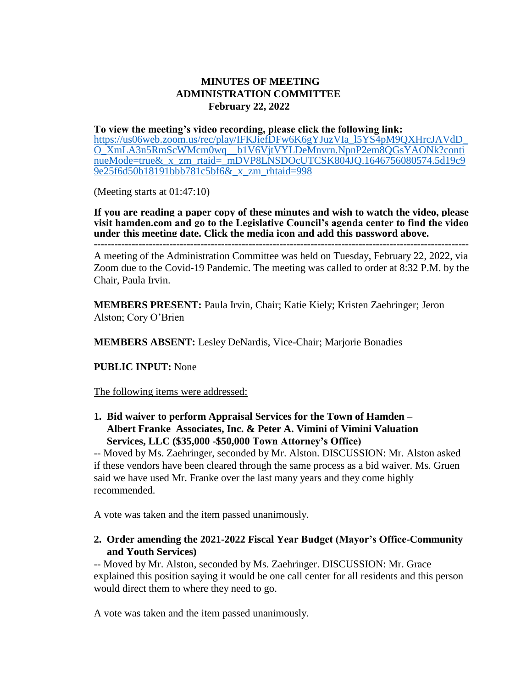## **MINUTES OF MEETING ADMINISTRATION COMMITTEE February 22, 2022**

## **To view the meeting's video recording, please click the following link:**

[https://us06web.zoom.us/rec/play/IFKJiefDFw6K6gYJuzVIa\\_l5YS4pM9QXHrcJAVdD\\_](https://us06web.zoom.us/rec/play/IFKJiefDFw6K6gYJuzVIa_l5YS4pM9QXHrcJAVdD_O_XmLA3n5RmScWMcm0wq__b1V6VjtVYLDeMnvrn.NpnP2em8QGsYAONk?continueMode=true&_x_zm_rtaid=_mDVP8LNSDOcUTCSK804JQ.1646756080574.5d19c99e25f6d50b18191bbb781c5bf6&_x_zm_rhtaid=998) [O\\_XmLA3n5RmScWMcm0wq\\_\\_b1V6VjtVYLDeMnvrn.NpnP2em8QGsYAONk?conti](https://us06web.zoom.us/rec/play/IFKJiefDFw6K6gYJuzVIa_l5YS4pM9QXHrcJAVdD_O_XmLA3n5RmScWMcm0wq__b1V6VjtVYLDeMnvrn.NpnP2em8QGsYAONk?continueMode=true&_x_zm_rtaid=_mDVP8LNSDOcUTCSK804JQ.1646756080574.5d19c99e25f6d50b18191bbb781c5bf6&_x_zm_rhtaid=998) [nueMode=true&\\_x\\_zm\\_rtaid=\\_mDVP8LNSDOcUTCSK804JQ.1646756080574.5d19c9](https://us06web.zoom.us/rec/play/IFKJiefDFw6K6gYJuzVIa_l5YS4pM9QXHrcJAVdD_O_XmLA3n5RmScWMcm0wq__b1V6VjtVYLDeMnvrn.NpnP2em8QGsYAONk?continueMode=true&_x_zm_rtaid=_mDVP8LNSDOcUTCSK804JQ.1646756080574.5d19c99e25f6d50b18191bbb781c5bf6&_x_zm_rhtaid=998) [9e25f6d50b18191bbb781c5bf6&\\_x\\_zm\\_rhtaid=998](https://us06web.zoom.us/rec/play/IFKJiefDFw6K6gYJuzVIa_l5YS4pM9QXHrcJAVdD_O_XmLA3n5RmScWMcm0wq__b1V6VjtVYLDeMnvrn.NpnP2em8QGsYAONk?continueMode=true&_x_zm_rtaid=_mDVP8LNSDOcUTCSK804JQ.1646756080574.5d19c99e25f6d50b18191bbb781c5bf6&_x_zm_rhtaid=998)

(Meeting starts at 01:47:10)

**If you are reading a paper copy of these minutes and wish to watch the video, please visit hamden.com and go to the Legislative Council's agenda center to find the video under this meeting date. Click the media icon and add this password above.**

**-------------------------------------------------------------------------------------------------------------**

A meeting of the Administration Committee was held on Tuesday, February 22, 2022, via Zoom due to the Covid-19 Pandemic. The meeting was called to order at 8:32 P.M. by the Chair, Paula Irvin.

**MEMBERS PRESENT:** Paula Irvin, Chair; Katie Kiely; Kristen Zaehringer; Jeron Alston; Cory O'Brien

**MEMBERS ABSENT:** Lesley DeNardis, Vice-Chair; Marjorie Bonadies

**PUBLIC INPUT:** None

The following items were addressed:

**1. Bid waiver to perform Appraisal Services for the Town of Hamden – Albert Franke Associates, Inc. & Peter A. Vimini of Vimini Valuation Services, LLC (\$35,000 -\$50,000 Town Attorney's Office)**

-- Moved by Ms. Zaehringer, seconded by Mr. Alston. DISCUSSION: Mr. Alston asked if these vendors have been cleared through the same process as a bid waiver. Ms. Gruen said we have used Mr. Franke over the last many years and they come highly recommended.

A vote was taken and the item passed unanimously.

## **2. Order amending the 2021-2022 Fiscal Year Budget (Mayor's Office-Community and Youth Services)**

-- Moved by Mr. Alston, seconded by Ms. Zaehringer. DISCUSSION: Mr. Grace explained this position saying it would be one call center for all residents and this person would direct them to where they need to go.

A vote was taken and the item passed unanimously.